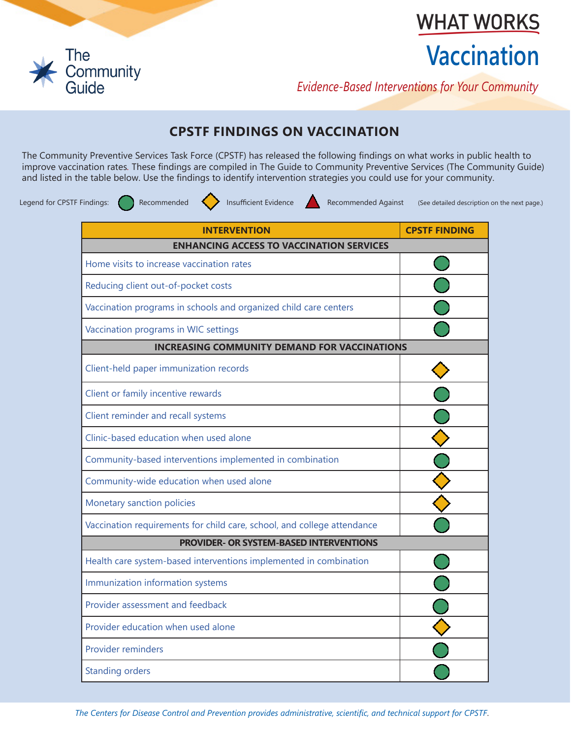

**WHAT WORKS** 

# **Vaccination**

*Evidence-Based Interventions for Your Community*

## **CPSTF FINDINGS ON VACCINATION**

The Community Preventive Services Task Force (CPSTF) has released the following findings on what works in public health to improve vaccination rates*.* These findings are compiled in The Guide to Community Preventive Services (The Community Guide) and listed in the table below. Use the findings to identify intervention strategies you could use for your community.

Legend for CPSTF Findings: Recommended **Insufficient Evidence** Recommended Against (See detailed description on the next page.)

| <b>INTERVENTION</b>                                                     | <b>CPSTF FINDING</b> |  |  |
|-------------------------------------------------------------------------|----------------------|--|--|
| <b>ENHANCING ACCESS TO VACCINATION SERVICES</b>                         |                      |  |  |
| Home visits to increase vaccination rates                               |                      |  |  |
| Reducing client out-of-pocket costs                                     |                      |  |  |
| Vaccination programs in schools and organized child care centers        |                      |  |  |
| Vaccination programs in WIC settings                                    |                      |  |  |
| <b>INCREASING COMMUNITY DEMAND FOR VACCINATIONS</b>                     |                      |  |  |
| Client-held paper immunization records                                  |                      |  |  |
| Client or family incentive rewards                                      |                      |  |  |
| Client reminder and recall systems                                      |                      |  |  |
| Clinic-based education when used alone                                  |                      |  |  |
| Community-based interventions implemented in combination                |                      |  |  |
| Community-wide education when used alone                                |                      |  |  |
| Monetary sanction policies                                              |                      |  |  |
| Vaccination requirements for child care, school, and college attendance |                      |  |  |
| <b>PROVIDER- OR SYSTEM-BASED INTERVENTIONS</b>                          |                      |  |  |
| Health care system-based interventions implemented in combination       |                      |  |  |
| Immunization information systems                                        |                      |  |  |
| Provider assessment and feedback                                        |                      |  |  |
| Provider education when used alone                                      |                      |  |  |
| <b>Provider reminders</b>                                               |                      |  |  |
| <b>Standing orders</b>                                                  |                      |  |  |